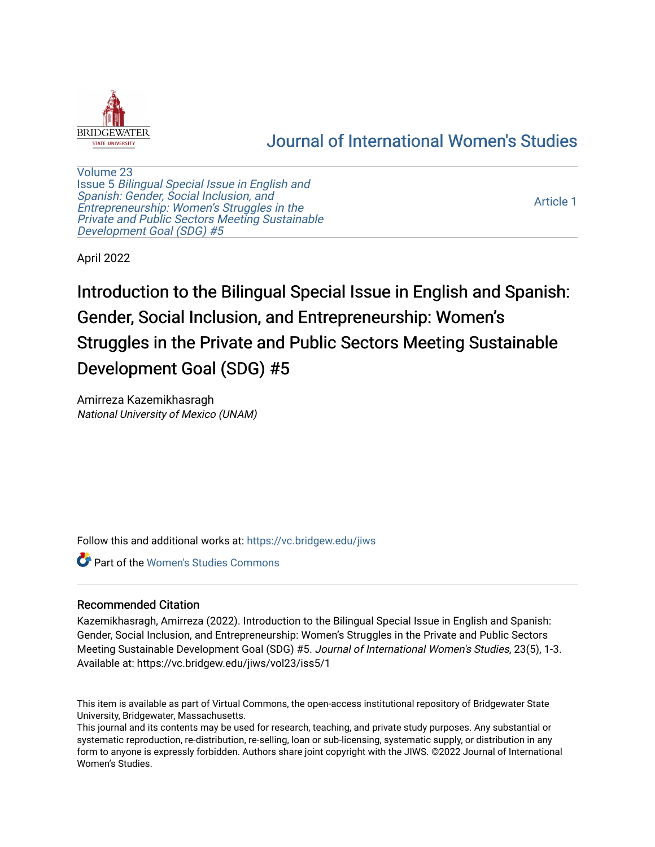

# [Journal of International Women's Studies](https://vc.bridgew.edu/jiws)

[Volume 23](https://vc.bridgew.edu/jiws/vol23) Issue 5 [Bilingual Special Issue in English and](https://vc.bridgew.edu/jiws/vol23/iss5)  [Spanish: Gender, Social Inclusion, and](https://vc.bridgew.edu/jiws/vol23/iss5)  [Entrepreneurship: Women's Struggles in the](https://vc.bridgew.edu/jiws/vol23/iss5)  [Private and Public Sectors Meeting Sustainable](https://vc.bridgew.edu/jiws/vol23/iss5) [Development Goal \(SDG\) #5](https://vc.bridgew.edu/jiws/vol23/iss5) 

[Article 1](https://vc.bridgew.edu/jiws/vol23/iss5/1) 

April 2022

Introduction to the Bilingual Special Issue in English and Spanish: Gender, Social Inclusion, and Entrepreneurship: Women's Struggles in the Private and Public Sectors Meeting Sustainable Development Goal (SDG) #5

Amirreza Kazemikhasragh National University of Mexico (UNAM)

Follow this and additional works at: [https://vc.bridgew.edu/jiws](https://vc.bridgew.edu/jiws?utm_source=vc.bridgew.edu%2Fjiws%2Fvol23%2Fiss5%2F1&utm_medium=PDF&utm_campaign=PDFCoverPages)

**C** Part of the Women's Studies Commons

#### Recommended Citation

Kazemikhasragh, Amirreza (2022). Introduction to the Bilingual Special Issue in English and Spanish: Gender, Social Inclusion, and Entrepreneurship: Women's Struggles in the Private and Public Sectors Meeting Sustainable Development Goal (SDG) #5. Journal of International Women's Studies, 23(5), 1-3. Available at: https://vc.bridgew.edu/jiws/vol23/iss5/1

This item is available as part of Virtual Commons, the open-access institutional repository of Bridgewater State University, Bridgewater, Massachusetts.

This journal and its contents may be used for research, teaching, and private study purposes. Any substantial or systematic reproduction, re-distribution, re-selling, loan or sub-licensing, systematic supply, or distribution in any form to anyone is expressly forbidden. Authors share joint copyright with the JIWS. ©2022 Journal of International Women's Studies.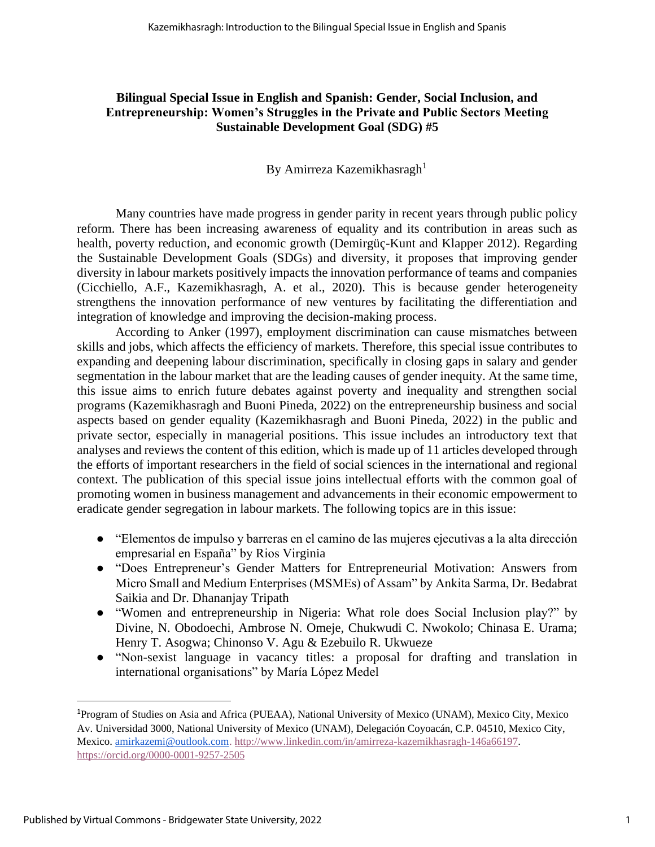### **Bilingual Special Issue in English and Spanish: Gender, Social Inclusion, and Entrepreneurship: Women's Struggles in the Private and Public Sectors Meeting Sustainable Development Goal (SDG) #5**

## By Amirreza Kazemikhasragh<sup>1</sup>

Many countries have made progress in gender parity in recent years through public policy reform. There has been increasing awareness of equality and its contribution in areas such as health, poverty reduction, and economic growth (Demirgüç-Kunt and Klapper 2012). Regarding the Sustainable Development Goals (SDGs) and diversity, it proposes that improving gender diversity in labour markets positively impacts the innovation performance of teams and companies (Cicchiello, A.F., Kazemikhasragh, A. et al., 2020). This is because gender heterogeneity strengthens the innovation performance of new ventures by facilitating the differentiation and integration of knowledge and improving the decision-making process.

According to Anker (1997), employment discrimination can cause mismatches between skills and jobs, which affects the efficiency of markets. Therefore, this special issue contributes to expanding and deepening labour discrimination, specifically in closing gaps in salary and gender segmentation in the labour market that are the leading causes of gender inequity. At the same time, this issue aims to enrich future debates against poverty and inequality and strengthen social programs (Kazemikhasragh and Buoni Pineda, 2022) on the entrepreneurship business and social aspects based on gender equality (Kazemikhasragh and Buoni Pineda, 2022) in the public and private sector, especially in managerial positions. This issue includes an introductory text that analyses and reviews the content of this edition, which is made up of 11 articles developed through the efforts of important researchers in the field of social sciences in the international and regional context. The publication of this special issue joins intellectual efforts with the common goal of promoting women in business management and advancements in their economic empowerment to eradicate gender segregation in labour markets. The following topics are in this issue:

- "Elementos de impulso y barreras en el camino de las mujeres ejecutivas a la alta dirección empresarial en España" by Rios Virginia
- "Does Entrepreneur's Gender Matters for Entrepreneurial Motivation: Answers from Micro Small and Medium Enterprises (MSMEs) of Assam" by Ankita Sarma, Dr. Bedabrat Saikia and Dr. Dhananjay Tripath
- "Women and entrepreneurship in Nigeria: What role does Social Inclusion play?" by Divine, N. Obodoechi, Ambrose N. Omeje, Chukwudi C. Nwokolo; Chinasa E. Urama; Henry T. Asogwa; Chinonso V. Agu & Ezebuilo R. Ukwueze
- "Non-sexist language in vacancy titles: a proposal for drafting and translation in international organisations" by María López Medel

<sup>1</sup>Program of Studies on Asia and Africa (PUEAA), National University of Mexico (UNAM), Mexico City, Mexico Av. Universidad 3000, National University of Mexico (UNAM), Delegación Coyoacán, C.P. 04510, Mexico City, Mexico[. amirkazemi@outlook.com.](mailto:amirkazemi@outlook.com) [http://www.linkedin.com/in/amirreza-kazemikhasragh-146a66197.](http://www.linkedin.com/in/amirreza-kazemikhasragh-146a66197) <https://orcid.org/0000-0001-9257-2505>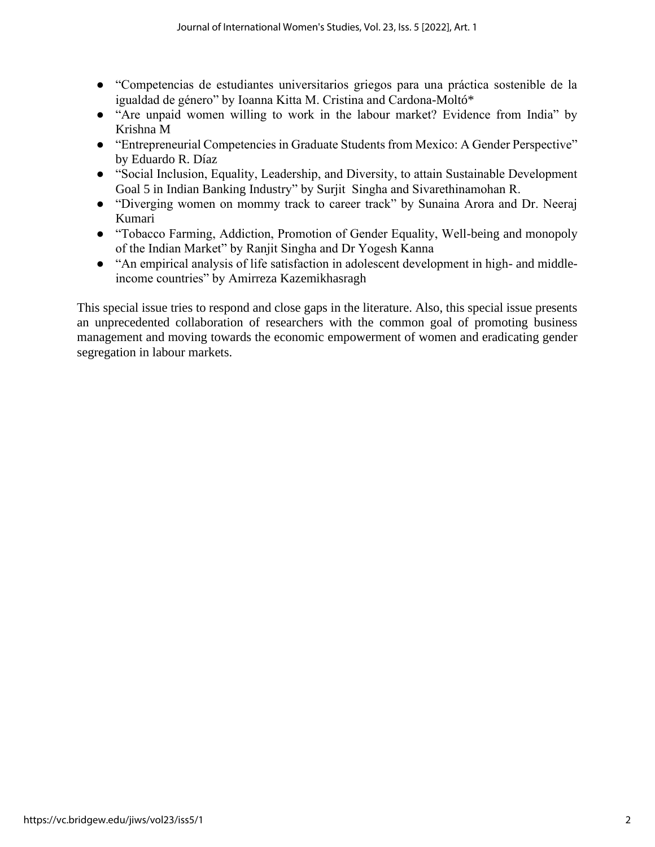- "Competencias de estudiantes universitarios griegos para una práctica sostenible de la igualdad de género" by Ioanna Kitta M. Cristina and Cardona-Moltó\*
- "Are unpaid women willing to work in the labour market? Evidence from India" by Krishna M
- "Entrepreneurial Competencies in Graduate Students from Mexico: A Gender Perspective" by Eduardo R. Díaz
- "Social Inclusion, Equality, Leadership, and Diversity, to attain Sustainable Development Goal 5 in Indian Banking Industry" by Surjit Singha and Sivarethinamohan R.
- "Diverging women on mommy track to career track" by Sunaina Arora and Dr. Neeraj Kumari
- "Tobacco Farming, Addiction, Promotion of Gender Equality, Well-being and monopoly of the Indian Market" by Ranjit Singha and Dr Yogesh Kanna
- "An empirical analysis of life satisfaction in adolescent development in high- and middleincome countries" by Amirreza Kazemikhasragh

This special issue tries to respond and close gaps in the literature. Also, this special issue presents an unprecedented collaboration of researchers with the common goal of promoting business management and moving towards the economic empowerment of women and eradicating gender segregation in labour markets.